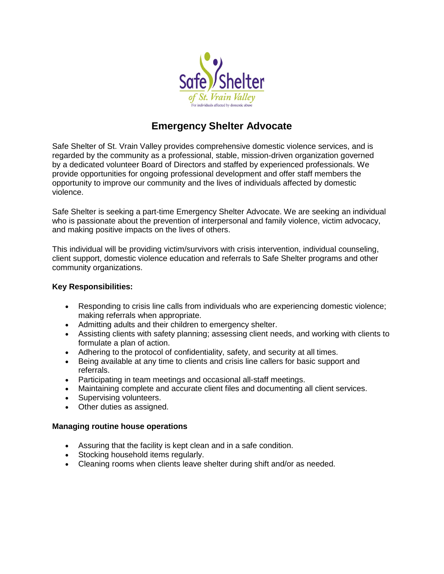

# **Emergency Shelter Advocate**

Safe Shelter of St. Vrain Valley provides comprehensive domestic violence services, and is regarded by the community as a professional, stable, mission-driven organization governed by a dedicated volunteer Board of Directors and staffed by experienced professionals. We provide opportunities for ongoing professional development and offer staff members the opportunity to improve our community and the lives of individuals affected by domestic violence.

Safe Shelter is seeking a part-time Emergency Shelter Advocate. We are seeking an individual who is passionate about the prevention of interpersonal and family violence, victim advocacy, and making positive impacts on the lives of others.

This individual will be providing victim/survivors with crisis intervention, individual counseling, client support, domestic violence education and referrals to Safe Shelter programs and other community organizations.

## **Key Responsibilities:**

- Responding to crisis line calls from individuals who are experiencing domestic violence; making referrals when appropriate.
- Admitting adults and their children to emergency shelter.
- Assisting clients with safety planning; assessing client needs, and working with clients to formulate a plan of action.
- Adhering to the protocol of confidentiality, safety, and security at all times.
- Being available at any time to clients and crisis line callers for basic support and referrals.
- Participating in team meetings and occasional all-staff meetings.
- Maintaining complete and accurate client files and documenting all client services.
- Supervising volunteers.
- Other duties as assigned.

## **Managing routine house operations**

- Assuring that the facility is kept clean and in a safe condition.
- Stocking household items regularly.
- Cleaning rooms when clients leave shelter during shift and/or as needed.